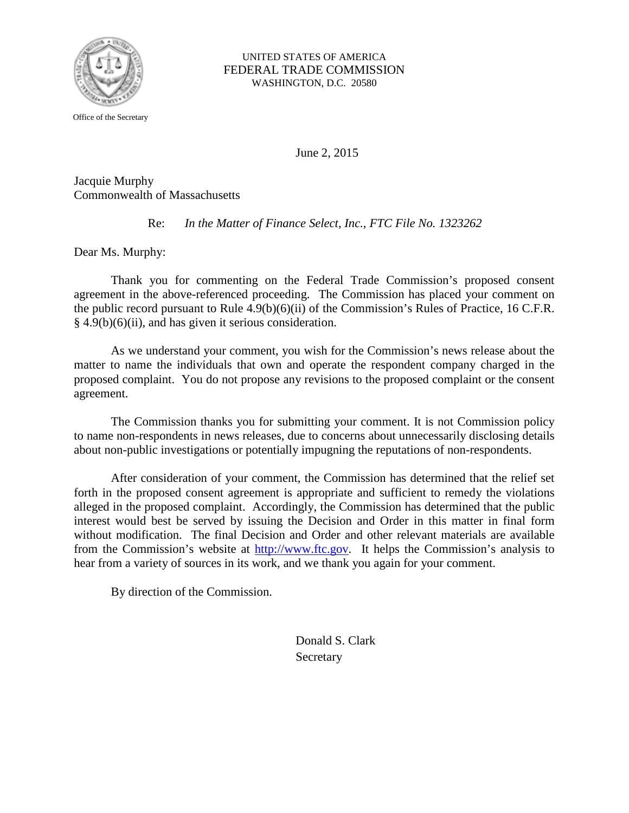

Office of the Secretary

UNITED STATES OF AMERICA FEDERAL TRADE COMMISSION WASHINGTON, D.C. 20580

June 2, 2015

Jacquie Murphy Commonwealth of Massachusetts

Re: *In the Matter of Finance Select, Inc., FTC File No. 1323262*

Dear Ms. Murphy:

Thank you for commenting on the Federal Trade Commission's proposed consent agreement in the above-referenced proceeding. The Commission has placed your comment on the public record pursuant to Rule 4.9(b)(6)(ii) of the Commission's Rules of Practice, 16 C.F.R.  $§$  4.9(b)(6)(ii), and has given it serious consideration.

As we understand your comment, you wish for the Commission's news release about the matter to name the individuals that own and operate the respondent company charged in the proposed complaint. You do not propose any revisions to the proposed complaint or the consent agreement.

The Commission thanks you for submitting your comment. It is not Commission policy to name non-respondents in news releases, due to concerns about unnecessarily disclosing details about non-public investigations or potentially impugning the reputations of non-respondents.

After consideration of your comment, the Commission has determined that the relief set forth in the proposed consent agreement is appropriate and sufficient to remedy the violations alleged in the proposed complaint. Accordingly, the Commission has determined that the public interest would best be served by issuing the Decision and Order in this matter in final form without modification. The final Decision and Order and other relevant materials are available from the Commission's website at [http://www.ftc.gov.](http://www.ftc.gov/) It helps the Commission's analysis to hear from a variety of sources in its work, and we thank you again for your comment.

By direction of the Commission.

Donald S. Clark Secretary